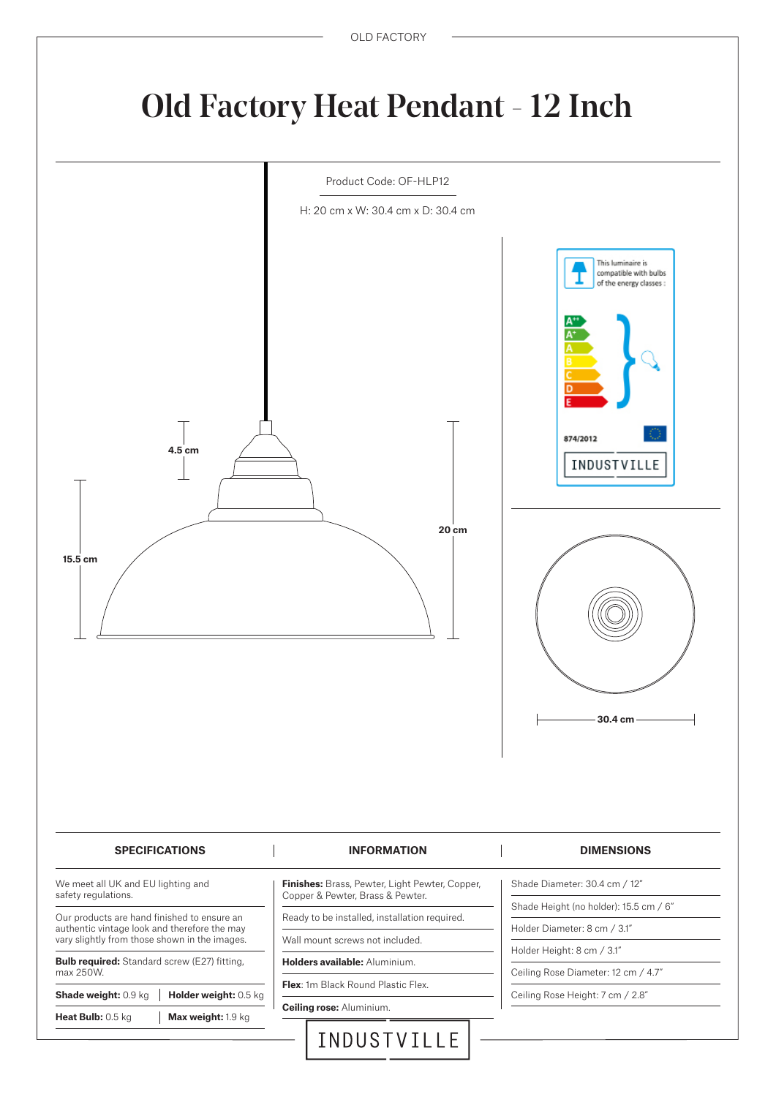## Old Factory Heat Pendant - 12 Inch

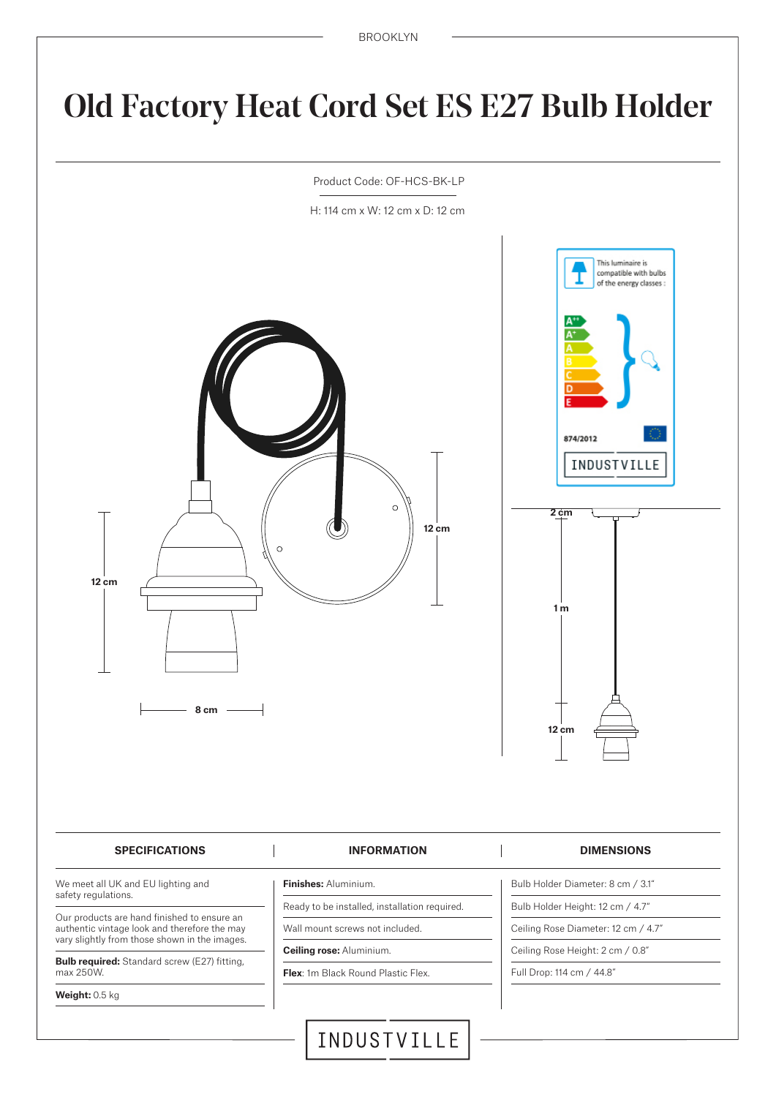# Old Factory Heat Cord Set ES E27 Bulb Holder



## **SPECIFICATIONS INFORMATION DIMENSIONS**

We meet all UK and EU lighting and safety regulations.

Our products are hand finished to ensure an authentic vintage look and therefore the may vary slightly from those shown in the images.

**Bulb required:** Standard screw (E27) fitting, max 250W.

**Weight:** 0.5 kg

- **Finishes:** Aluminium.
- Ready to be installed, installation required.

Wall mount screws not included.

**Ceiling rose:** Aluminium.

**Flex:** 1m Black Round Plastic Flex.

- Bulb Holder Diameter: 8 cm / 3.1" Bulb Holder Height: 12 cm / 4.7"
- Ceiling Rose Diameter: 12 cm / 4.7"
- Ceiling Rose Height: 2 cm / 0.8"

Full Drop: 114 cm / 44.8"